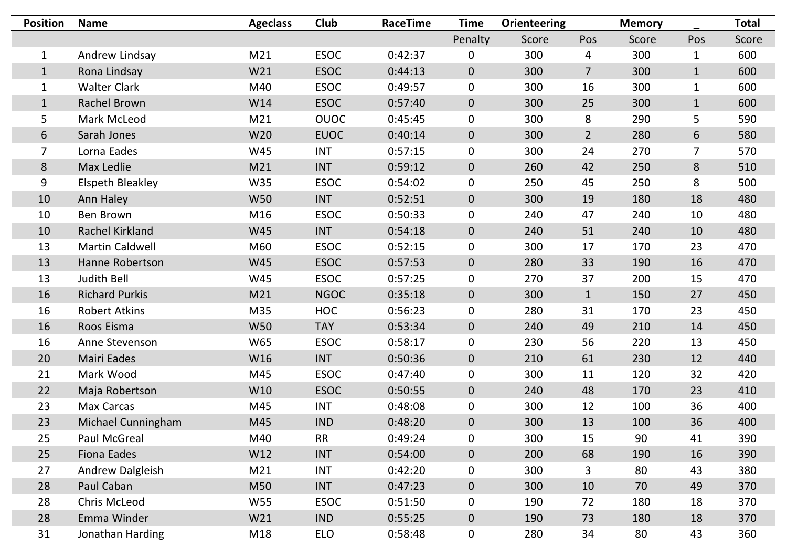| <b>Position</b> | <b>Name</b>             | <b>Ageclass</b> | <b>Club</b> | <b>RaceTime</b> | <b>Time</b>    | <b>Orienteering</b> |                | <b>Memory</b> |             | <b>Total</b> |
|-----------------|-------------------------|-----------------|-------------|-----------------|----------------|---------------------|----------------|---------------|-------------|--------------|
|                 |                         |                 |             |                 | Penalty        | Score               | Pos            | Score         | Pos         | Score        |
|                 | Andrew Lindsay          | M21             | <b>ESOC</b> | 0:42:37         | $\overline{0}$ | 300                 | 4              | 300           |             | 600          |
| 1               | Rona Lindsay            | W21             | <b>ESOC</b> | 0:44:13         | $\overline{0}$ | 300                 | $\overline{7}$ | 300           |             | 600          |
|                 | <b>Walter Clark</b>     | M40             | <b>ESOC</b> | 0:49:57         | $\overline{0}$ | 300                 | 16             | 300           | $\mathbf 1$ | 600          |
|                 | Rachel Brown            | W14             | <b>ESOC</b> | 0:57:40         | $\overline{0}$ | 300                 | 25             | 300           |             | 600          |
| 5               | Mark McLeod             | M21             | <b>OUOC</b> | 0:45:45         | $\overline{0}$ | 300                 | 8              | 290           | 5           | 590          |
| 6               | Sarah Jones             | <b>W20</b>      | <b>EUOC</b> | 0:40:14         | $\overline{0}$ | 300                 | $\overline{2}$ | 280           | 6           | 580          |
|                 | Lorna Eades             | W45             | <b>INT</b>  | 0:57:15         | $\overline{0}$ | 300                 | 24             | 270           | 7           | 570          |
| 8               | Max Ledlie              | M21             | <b>INT</b>  | 0:59:12         | $\overline{0}$ | 260                 | 42             | 250           | 8           | 510          |
| 9               | <b>Elspeth Bleakley</b> | <b>W35</b>      | <b>ESOC</b> | 0:54:02         | $\overline{0}$ | 250                 | 45             | 250           | 8           | 500          |
| 10              | Ann Haley               | <b>W50</b>      | <b>INT</b>  | 0:52:51         | $\overline{0}$ | 300                 | 19             | 180           | 18          | 480          |
| 10              | <b>Ben Brown</b>        | M16             | <b>ESOC</b> | 0:50:33         | $\overline{0}$ | 240                 | 47             | 240           | 10          | 480          |
| 10              | Rachel Kirkland         | <b>W45</b>      | <b>INT</b>  | 0:54:18         | $\overline{0}$ | 240                 | 51             | 240           | 10          | 480          |
| 13              | <b>Martin Caldwell</b>  | M60             | <b>ESOC</b> | 0:52:15         | $\overline{0}$ | 300                 | 17             | 170           | 23          | 470          |
| 13              | Hanne Robertson         | <b>W45</b>      | <b>ESOC</b> | 0:57:53         | $\overline{0}$ | 280                 | 33             | 190           | 16          | 470          |
| 13              | <b>Judith Bell</b>      | <b>W45</b>      | <b>ESOC</b> | 0:57:25         | $\overline{0}$ | 270                 | 37             | 200           | 15          | 470          |
| 16              | <b>Richard Purkis</b>   | M21             | <b>NGOC</b> | 0:35:18         | $\overline{0}$ | 300                 | $\mathbf{1}$   | 150           | 27          | 450          |
| 16              | <b>Robert Atkins</b>    | M35             | <b>HOC</b>  | 0:56:23         | U              | 280                 | 31             | 170           | 23          | 450          |
| 16              | Roos Eisma              | <b>W50</b>      | <b>TAY</b>  | 0:53:34         | $\overline{0}$ | 240                 | 49             | 210           | 14          | 450          |
| 16              | Anne Stevenson          | W65             | <b>ESOC</b> | 0:58:17         | $\mathbf 0$    | 230                 | 56             | 220           | 13          | 450          |
| 20              | <b>Mairi Eades</b>      | W16             | <b>INT</b>  | 0:50:36         | $\overline{0}$ | 210                 | 61             | 230           | 12          | 440          |
| 21              | Mark Wood               | M45             | <b>ESOC</b> | 0:47:40         | $\mathbf 0$    | 300                 | 11             | 120           | 32          | 420          |
| 22              | Maja Robertson          | W10             | <b>ESOC</b> | 0:50:55         | $\overline{0}$ | 240                 | 48             | 170           | 23          | 410          |
| 23              | <b>Max Carcas</b>       | M45             | <b>INT</b>  | 0:48:08         | $\mathbf 0$    | 300                 | 12             | 100           | 36          | 400          |
| 23              | Michael Cunningham      | M45             | <b>IND</b>  | 0:48:20         | $\overline{0}$ | 300                 | 13             | 100           | 36          | 400          |
| 25              | <b>Paul McGreal</b>     | M40             | <b>RR</b>   | 0:49:24         | $\mathbf 0$    | 300                 | 15             | 90            | 41          | 390          |
| 25              | <b>Fiona Eades</b>      | W12             | <b>INT</b>  | 0:54:00         | $\overline{0}$ | 200                 | 68             | 190           | 16          | 390          |
| 27              | <b>Andrew Dalgleish</b> | M21             | <b>INT</b>  | 0:42:20         | $\overline{0}$ | 300                 | $\mathsf{3}$   | 80            | 43          | 380          |
| 28              | Paul Caban              | M50             | <b>INT</b>  | 0:47:23         | $\overline{0}$ | 300                 | 10             | 70            | 49          | 370          |
| 28              | <b>Chris McLeod</b>     | W55             | <b>ESOC</b> | 0:51:50         | $\overline{0}$ | 190                 | 72             | 180           | 18          | 370          |
| 28              | Emma Winder             | W21             | <b>IND</b>  | 0:55:25         | $\overline{0}$ | 190                 | 73             | 180           | 18          | 370          |
| 31              | Jonathan Harding        | M18             | <b>ELO</b>  | 0:58:48         | $\mathbf 0$    | 280                 | 34             | 80            | 43          | 360          |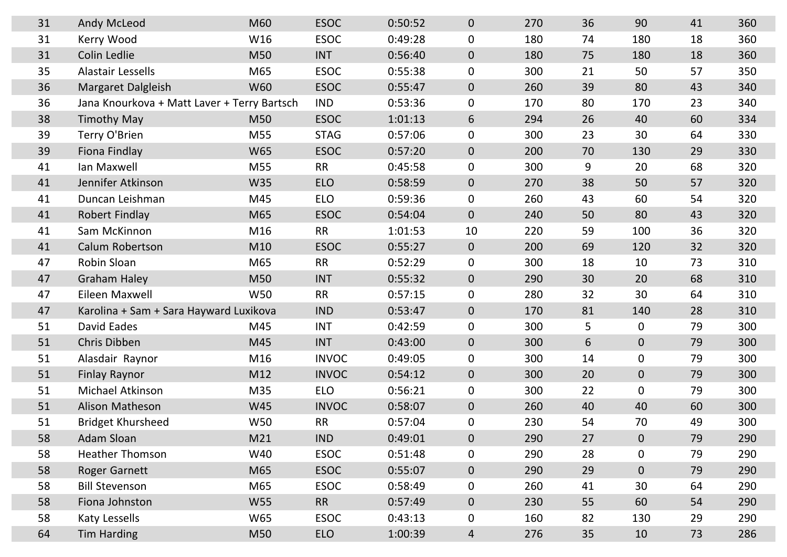| 31 | <b>Andy McLeod</b>                          | M60        | <b>ESOC</b>  | 0:50:52 | $\overline{0}$ | 270 | 36 |
|----|---------------------------------------------|------------|--------------|---------|----------------|-----|----|
| 31 | Kerry Wood                                  | W16        | <b>ESOC</b>  | 0:49:28 | $\overline{0}$ | 180 | 74 |
| 31 | <b>Colin Ledlie</b>                         | M50        | <b>INT</b>   | 0:56:40 | $\overline{0}$ | 180 | 75 |
| 35 | <b>Alastair Lessells</b>                    | M65        | <b>ESOC</b>  | 0:55:38 | $\mathbf 0$    | 300 | 21 |
| 36 | Margaret Dalgleish                          | <b>W60</b> | <b>ESOC</b>  | 0:55:47 | $\overline{0}$ | 260 | 39 |
| 36 | Jana Knourkova + Matt Laver + Terry Bartsch |            | <b>IND</b>   | 0:53:36 | $\mathbf 0$    | 170 | 80 |
| 38 | <b>Timothy May</b>                          | M50        | <b>ESOC</b>  | 1:01:13 | 6              | 294 | 26 |
| 39 | Terry O'Brien                               | M55        | <b>STAG</b>  | 0:57:06 | $\mathbf 0$    | 300 | 23 |
| 39 | <b>Fiona Findlay</b>                        | <b>W65</b> | <b>ESOC</b>  | 0:57:20 | $\overline{0}$ | 200 | 70 |
| 41 | Ian Maxwell                                 | M55        | <b>RR</b>    | 0:45:58 | $\mathbf 0$    | 300 | 9  |
| 41 | Jennifer Atkinson                           | <b>W35</b> | <b>ELO</b>   | 0:58:59 | $\overline{0}$ | 270 | 38 |
| 41 | Duncan Leishman                             | M45        | <b>ELO</b>   | 0:59:36 | $\mathbf 0$    | 260 | 43 |
| 41 | <b>Robert Findlay</b>                       | M65        | <b>ESOC</b>  | 0:54:04 | $\overline{0}$ | 240 | 50 |
| 41 | Sam McKinnon                                | M16        | <b>RR</b>    | 1:01:53 | 10             | 220 | 59 |
| 41 | <b>Calum Robertson</b>                      | M10        | <b>ESOC</b>  | 0:55:27 | $\overline{0}$ | 200 | 69 |
| 47 | Robin Sloan                                 | M65        | <b>RR</b>    | 0:52:29 | $\mathbf 0$    | 300 | 18 |
| 47 | <b>Graham Haley</b>                         | M50        | <b>INT</b>   | 0:55:32 | $\overline{0}$ | 290 | 30 |
| 47 | Eileen Maxwell                              | <b>W50</b> | <b>RR</b>    | 0:57:15 | $\overline{0}$ | 280 | 32 |
| 47 | Karolina + Sam + Sara Hayward Luxikova      |            | <b>IND</b>   | 0:53:47 | $\overline{0}$ | 170 | 81 |
| 51 | David Eades                                 | M45        | <b>INT</b>   | 0:42:59 | $\mathbf 0$    | 300 | 5  |
| 51 | <b>Chris Dibben</b>                         | M45        | <b>INT</b>   | 0:43:00 | $\overline{0}$ | 300 | 6  |
| 51 | Alasdair Raynor                             | M16        | <b>INVOC</b> | 0:49:05 | $\mathbf 0$    | 300 | 14 |
| 51 | <b>Finlay Raynor</b>                        | M12        | <b>INVOC</b> | 0:54:12 | $\overline{0}$ | 300 | 20 |
| 51 | <b>Michael Atkinson</b>                     | M35        | <b>ELO</b>   | 0:56:21 | $\mathbf 0$    | 300 | 22 |
| 51 | <b>Alison Matheson</b>                      | W45        | <b>INVOC</b> | 0:58:07 | $\overline{0}$ | 260 | 40 |
| 51 | <b>Bridget Khursheed</b>                    | <b>W50</b> | <b>RR</b>    | 0:57:04 | $\mathbf 0$    | 230 | 54 |
| 58 | Adam Sloan                                  | M21        | IND          | 0:49:01 | $\overline{0}$ | 290 | 27 |
| 58 | <b>Heather Thomson</b>                      | W40        | <b>ESOC</b>  | 0:51:48 | $\mathbf 0$    | 290 | 28 |
| 58 | <b>Roger Garnett</b>                        | M65        | <b>ESOC</b>  | 0:55:07 | $\overline{0}$ | 290 | 29 |
| 58 | <b>Bill Stevenson</b>                       | M65        | <b>ESOC</b>  | 0:58:49 | $\mathbf 0$    | 260 | 41 |
| 58 | Fiona Johnston                              | <b>W55</b> | <b>RR</b>    | 0:57:49 | $\overline{0}$ | 230 | 55 |
| 58 | Katy Lessells                               | W65        | <b>ESOC</b>  | 0:43:13 | $\mathbf 0$    | 160 | 82 |
| 64 | <b>Tim Harding</b>                          | M50        | <b>ELO</b>   | 1:00:39 | $\overline{4}$ | 276 | 35 |

| 270 | 36 | 90          | 41 | 360 |
|-----|----|-------------|----|-----|
| 180 | 74 | 180         | 18 | 360 |
| 180 | 75 | 180         | 18 | 360 |
| 300 | 21 | 50          | 57 | 350 |
| 260 | 39 | 80          | 43 | 340 |
| 170 | 80 | 170         | 23 | 340 |
| 294 | 26 | 40          | 60 | 334 |
| 300 | 23 | 30          | 64 | 330 |
| 200 | 70 | 130         | 29 | 330 |
| 300 | 9  | 20          | 68 | 320 |
| 270 | 38 | 50          | 57 | 320 |
| 260 | 43 | 60          | 54 | 320 |
| 240 | 50 | 80          | 43 | 320 |
| 220 | 59 | 100         | 36 | 320 |
| 200 | 69 | 120         | 32 | 320 |
| 300 | 18 | 10          | 73 | 310 |
| 290 | 30 | 20          | 68 | 310 |
| 280 | 32 | 30          | 64 | 310 |
| 170 | 81 | 140         | 28 | 310 |
| 300 | 5  | $\mathbf 0$ | 79 | 300 |
| 300 | 6  | $\mathbf 0$ | 79 | 300 |
| 300 | 14 | $\mathbf 0$ | 79 | 300 |
| 300 | 20 | $\mathbf 0$ | 79 | 300 |
| 300 | 22 | 0           | 79 | 300 |
| 260 | 40 | 40          | 60 | 300 |
| 230 | 54 | 70          | 49 | 300 |
| 290 | 27 | 0           | 79 | 290 |
| 290 | 28 | 0           | 79 | 290 |
| 290 | 29 | 0           | 79 | 290 |
| 260 | 41 | 30          | 64 | 290 |
| 230 | 55 | 60          | 54 | 290 |
| 160 | 82 | 130         | 29 | 290 |
| 276 | 35 | 10          | 73 | 286 |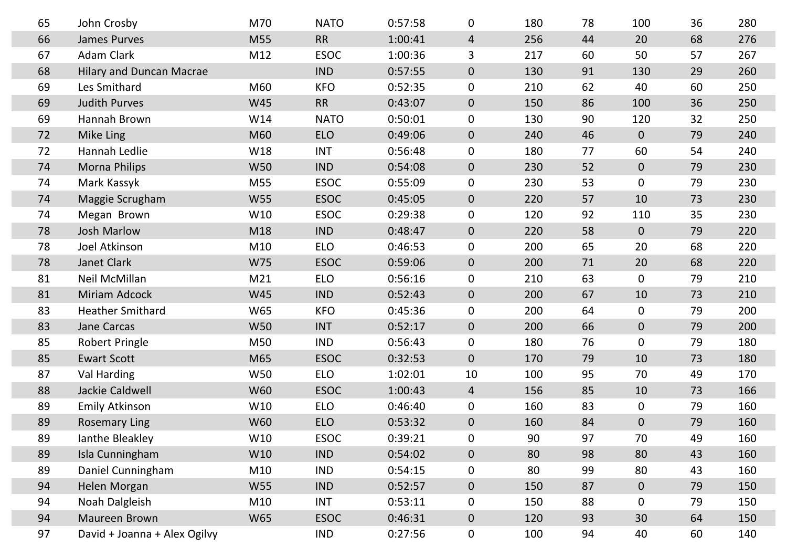| 65 | John Crosby                     | M70        | <b>NATO</b> | 0:57:58 | $\mathbf 0$    | 180 | 78 | 100            | 36 | 280 |
|----|---------------------------------|------------|-------------|---------|----------------|-----|----|----------------|----|-----|
| 66 | <b>James Purves</b>             | M55        | <b>RR</b>   | 1:00:41 | $\overline{4}$ | 256 | 44 | 20             | 68 | 276 |
| 67 | <b>Adam Clark</b>               | M12        | <b>ESOC</b> | 1:00:36 | $\mathsf{3}$   | 217 | 60 | 50             | 57 | 267 |
| 68 | <b>Hilary and Duncan Macrae</b> |            | <b>IND</b>  | 0:57:55 | $\overline{0}$ | 130 | 91 | 130            | 29 | 260 |
| 69 | Les Smithard                    | M60        | <b>KFO</b>  | 0:52:35 | $\overline{0}$ | 210 | 62 | 40             | 60 | 250 |
| 69 | <b>Judith Purves</b>            | <b>W45</b> | <b>RR</b>   | 0:43:07 | $\overline{0}$ | 150 | 86 | 100            | 36 | 250 |
| 69 | Hannah Brown                    | W14        | <b>NATO</b> | 0:50:01 | $\overline{0}$ | 130 | 90 | 120            | 32 | 250 |
| 72 | Mike Ling                       | M60        | <b>ELO</b>  | 0:49:06 | $\overline{0}$ | 240 | 46 | $\overline{0}$ | 79 | 240 |
| 72 | Hannah Ledlie                   | W18        | <b>INT</b>  | 0:56:48 | $\overline{0}$ | 180 | 77 | 60             | 54 | 240 |
| 74 | <b>Morna Philips</b>            | <b>W50</b> | <b>IND</b>  | 0:54:08 | $\overline{0}$ | 230 | 52 | $\overline{0}$ | 79 | 230 |
| 74 | Mark Kassyk                     | M55        | <b>ESOC</b> | 0:55:09 | $\overline{0}$ | 230 | 53 | $\overline{0}$ | 79 | 230 |
| 74 | Maggie Scrugham                 | W55        | <b>ESOC</b> | 0:45:05 | $\overline{0}$ | 220 | 57 | 10             | 73 | 230 |
| 74 | Megan Brown                     | W10        | <b>ESOC</b> | 0:29:38 | $\overline{0}$ | 120 | 92 | 110            | 35 | 230 |
| 78 | <b>Josh Marlow</b>              | M18        | <b>IND</b>  | 0:48:47 | $\overline{0}$ | 220 | 58 | $\overline{0}$ | 79 | 220 |
| 78 | Joel Atkinson                   | M10        | <b>ELO</b>  | 0:46:53 | $\overline{0}$ | 200 | 65 | 20             | 68 | 220 |
| 78 | <b>Janet Clark</b>              | W75        | <b>ESOC</b> | 0:59:06 | $\overline{0}$ | 200 | 71 | 20             | 68 | 220 |
| 81 | Neil McMillan                   | M21        | <b>ELO</b>  | 0:56:16 | $\overline{0}$ | 210 | 63 | $\overline{0}$ | 79 | 210 |
| 81 | <b>Miriam Adcock</b>            | W45        | <b>IND</b>  | 0:52:43 | $\overline{0}$ | 200 | 67 | 10             | 73 | 210 |
| 83 | <b>Heather Smithard</b>         | <b>W65</b> | <b>KFO</b>  | 0:45:36 | $\overline{0}$ | 200 | 64 | $\mathbf 0$    | 79 | 200 |
| 83 | <b>Jane Carcas</b>              | <b>W50</b> | <b>INT</b>  | 0:52:17 | $\overline{0}$ | 200 | 66 | $\overline{0}$ | 79 | 200 |
| 85 | <b>Robert Pringle</b>           | M50        | <b>IND</b>  | 0:56:43 | $\mathbf 0$    | 180 | 76 | $\mathbf 0$    | 79 | 180 |
| 85 | <b>Ewart Scott</b>              | M65        | <b>ESOC</b> | 0:32:53 | $\overline{0}$ | 170 | 79 | 10             | 73 | 180 |
| 87 | Val Harding                     | <b>W50</b> | <b>ELO</b>  | 1:02:01 | 10             | 100 | 95 | 70             | 49 | 170 |
| 88 | Jackie Caldwell                 | <b>W60</b> | <b>ESOC</b> | 1:00:43 | $\overline{4}$ | 156 | 85 | 10             | 73 | 166 |
| 89 | <b>Emily Atkinson</b>           | W10        | <b>ELO</b>  | 0:46:40 | $\mathbf 0$    | 160 | 83 | $\mathbf 0$    | 79 | 160 |
| 89 | <b>Rosemary Ling</b>            | <b>W60</b> | <b>ELO</b>  | 0:53:32 | $\overline{0}$ | 160 | 84 | $\overline{0}$ | 79 | 160 |
| 89 | lanthe Bleakley                 | W10        | <b>ESOC</b> | 0:39:21 | $\mathbf 0$    | 90  | 97 | 70             | 49 | 160 |
| 89 | Isla Cunningham                 | W10        | <b>IND</b>  | 0:54:02 | $\overline{0}$ | 80  | 98 | 80             | 43 | 160 |
| 89 | Daniel Cunningham               | M10        | <b>IND</b>  | 0:54:15 | $\mathbf 0$    | 80  | 99 | 80             | 43 | 160 |
| 94 | Helen Morgan                    | W55        | <b>IND</b>  | 0:52:57 | $\overline{0}$ | 150 | 87 | $\overline{0}$ | 79 | 150 |
| 94 | Noah Dalgleish                  | M10        | <b>INT</b>  | 0:53:11 | $\mathbf 0$    | 150 | 88 | $\mathbf 0$    | 79 | 150 |
| 94 | Maureen Brown                   | W65        | <b>ESOC</b> | 0:46:31 | $\overline{0}$ | 120 | 93 | 30             | 64 | 150 |
| 97 | David + Joanna + Alex Ogilvy    |            | <b>IND</b>  | 0:27:56 | $\mathbf 0$    | 100 | 94 | 40             | 60 | 140 |